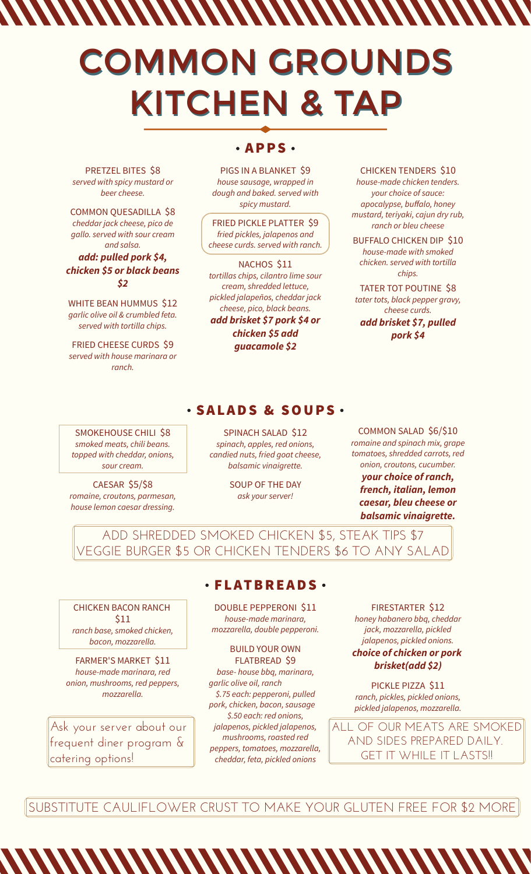# COMMON GROUNDS KITCHEN & TAP

<u>MANAMANAMANAMAN</u>

PRETZEL BITES \$8 served with spicy mustard or beer cheese.

COMMON QUESADILLA \$8 cheddar jack cheese, pico de gallo. served with sour cream and salsa. *add: pulled pork \$4, chicken \$5 or black beans \$2*

WHITE BEAN HUMMUS \$12 garlic olive oil & crumbled feta. served with tortilla chips.

FRIED CHEESE CURDS \$9 served with house marinara or ranch.

SMOKEHOUSE CHILI \$8 smoked meats, chili beans. topped with cheddar, onions, sour cream.

CAESAR \$5/\$8 romaine, croutons, parmesan, house lemon caesar dressing.

# . APPS .

PIGS IN A BLANKET \$9 house sausage, wrapped in dough and baked. served with spicy mustard.

FRIED PICKLE PLATTER \$9 fried pickles, jalapenos and The pickies, judgenos and<br>cheese curds. served with ranch.

NACHOS \$11 tortillas chips, cilantro lime sour cream, shredded lettuce, pickled jalapeños, cheddar jack cheese, pico, black beans. *add brisket \$7 pork \$4 or*

> *chicken \$5 add guacamole \$2*

#### CHICKEN TENDERS \$10

house-made chicken tenders. your choice of sauce: apocalypse, buffalo, honey mustard, teriyaki, cajun dry rub, ranch or bleu cheese

house-made with smoked chicken. served with tortilla chips.

TATER TOT POUTINE \$8 tater tots, black pepper gravy, cheese curds. *add brisket \$7, pulled pork \$4*

# SALADS & SOUPS

SPINACH SALAD \$12 spinach, apples, red onions, candied nuts, fried goat cheese, balsamic vinaigrette.

> SOUP OF THE DAY ask your server!

COMMON SALAD \$6/\$10 romaine and spinach mix, grape tomatoes, shredded carrots, red onion, croutons, cucumber. *your choice of ranch, french, italian, lemon caesar, bleu cheese or balsamic vinaigrette.*

# ADD SHREDDED SMOKED CHICKEN \$5, STEAK TIPS \$7 VEGGIE BURGER \$5 OR CHICKEN TENDERS \$6 TO ANY SALAD

CHICKEN BACON RANCH \$11 ranch base, smoked chicken, bacon, mozzarella.

*brisket(add \$2)* FARMER'S MARKET \$11 house-made marinara, red onion, mushrooms, red peppers, mozzarella.

Ask your server about our frequent diner program & catering options!

# **· FLATBREADS ·**

DOUBLE PEPPERONI \$11 house-made marinara, mozzarella, double pepperoni.

BUILD YOUR OWN FLATBREAD \$9

base- house bbq, marinara, garlic olive oil, ranch \$.75 each: pepperoni, pulled pork, chicken, bacon, sausage \$.50 each: red onions, jalapenos, pickled jalapenos, mushrooms, roasted red peppers, tomatoes, mozzarella, cheddar, feta, pickled onions

FIRESTARTER \$12 honey habanero bbq, cheddar jack, mozzarella, pickled jalapenos, pickled onions. *choice of chicken or pork* 

PICKLE PIZZA \$11 ranch, pickles, pickled onions, pickled jalapenos, mozzarella.

ALL OF OUR MEATS ARE SMOKED AND SIDES PREPARED DAILY. GET IT WHILE IT LASTS!!

SUBSTITUTE CAULIFLOWER CRUST TO MAKE YOUR GLUTEN FREE FOR \$2 MORE